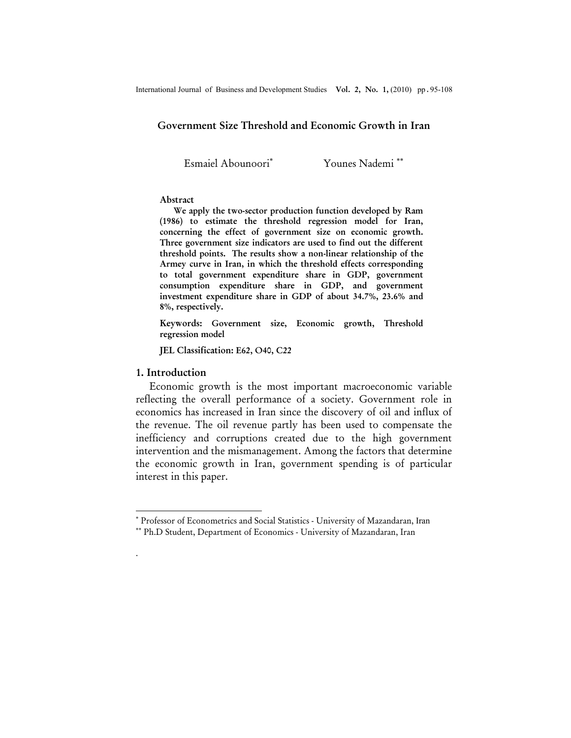## Government Size Threshold and Economic Growth in Iran

Esmaiel Abounoori<sup>\*</sup>

Younes Nademi ∗∗

#### Abstract

We apply the two-sector production function developed by Ram (1986) to estimate the threshold regression model for Iran, concerning the effect of government size on economic growth. Three government size indicators are used to find out the different threshold points. The results show a non-linear relationship of the Armey curve in Iran, in which the threshold effects corresponding to total government expenditure share in GDP, government consumption expenditure share in GDP, and government investment expenditure share in GDP of about 34.7%, 23.6% and 8%, respectively.

Keywords: Government size, Economic growth, Threshold regression model

JEL Classification: E62, O40, C22

### 1. Introduction

l

.

Economic growth is the most important macroeconomic variable reflecting the overall performance of a society. Government role in economics has increased in Iran since the discovery of oil and influx of the revenue. The oil revenue partly has been used to compensate the inefficiency and corruptions created due to the high government intervention and the mismanagement. Among the factors that determine the economic growth in Iran, government spending is of particular interest in this paper.

<sup>∗</sup> Professor of Econometrics and Social Statistics - University of Mazandaran, Iran

<sup>∗∗</sup> Ph.D Student, Department of Economics - University of Mazandaran, Iran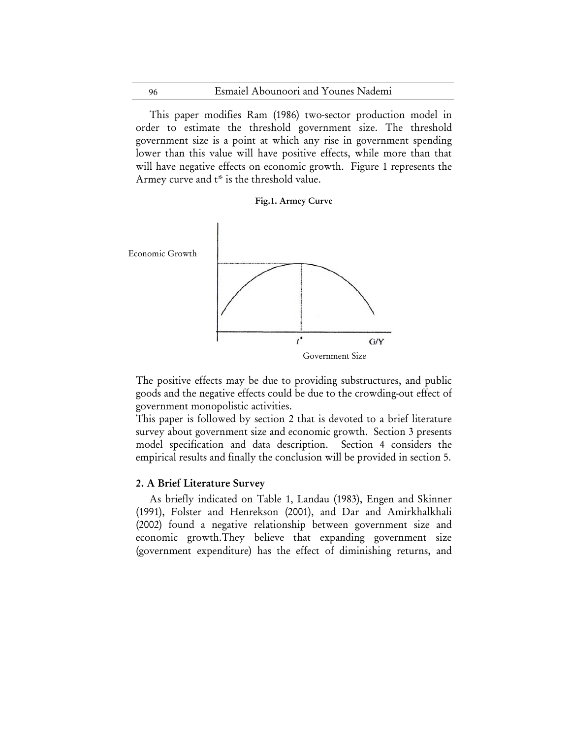This paper modifies Ram (1986) two-sector production model in order to estimate the threshold government size. The threshold government size is a point at which any rise in government spending lower than this value will have positive effects, while more than that will have negative effects on economic growth. Figure 1 represents the Armey curve and t\* is the threshold value.





The positive effects may be due to providing substructures, and public goods and the negative effects could be due to the crowding-out effect of government monopolistic activities.

This paper is followed by section 2 that is devoted to a brief literature survey about government size and economic growth. Section 3 presents model specification and data description. Section 4 considers the empirical results and finally the conclusion will be provided in section 5.

# 2. A Brief Literature Survey

٦

As briefly indicated on Table 1, Landau (1983), Engen and Skinner (1991), Folster and Henrekson (2001), and Dar and Amirkhalkhali (2002) found a negative relationship between government size and economic growth.They believe that expanding government size (government expenditure) has the effect of diminishing returns, and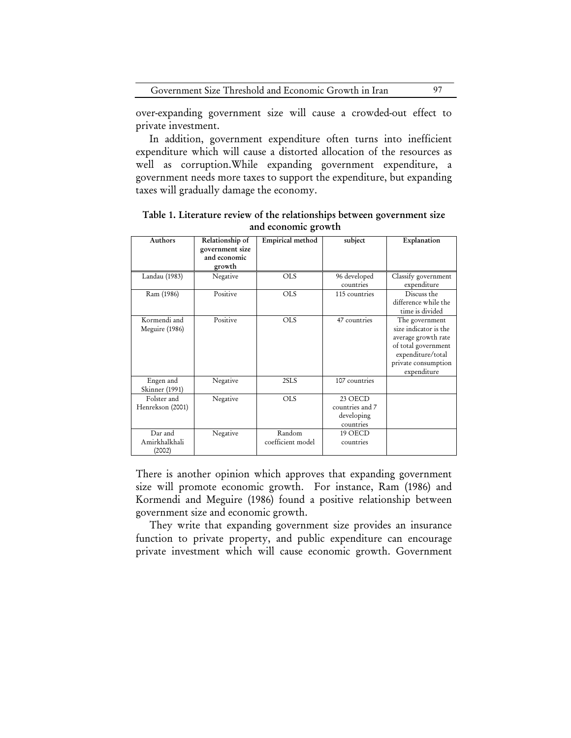over-expanding government size will cause a crowded-out effect to private investment.

In addition, government expenditure often turns into inefficient expenditure which will cause a distorted allocation of the resources as well as corruption.While expanding government expenditure, a government needs more taxes to support the expenditure, but expanding taxes will gradually damage the economy.

| Authors                            | Relationship of<br>government size<br>and economic<br>growth | Empirical method            | subject                                               | Explanation                                                                                                                                      |
|------------------------------------|--------------------------------------------------------------|-----------------------------|-------------------------------------------------------|--------------------------------------------------------------------------------------------------------------------------------------------------|
| Landau (1983)                      | Negative                                                     | <b>OLS</b>                  | 96 developed<br>countries                             | Classify government<br>expenditure                                                                                                               |
| Ram (1986)                         | Positive                                                     | <b>OLS</b>                  | 115 countries                                         | Discuss the<br>difference while the<br>time is divided                                                                                           |
| Kormendi and<br>Meguire (1986)     | Positive                                                     | <b>OLS</b>                  | 47 countries                                          | The government<br>size indicator is the<br>average growth rate<br>of total government<br>expenditure/total<br>private consumption<br>expenditure |
| Engen and<br>Skinner (1991)        | Negative                                                     | 2SLS                        | 107 countries                                         |                                                                                                                                                  |
| Folster and<br>Henrekson (2001)    | Negative                                                     | <b>OLS</b>                  | 23 OECD<br>countries and 7<br>developing<br>countries |                                                                                                                                                  |
| Dar and<br>Amirkhalkhali<br>(2002) | Negative                                                     | Random<br>coefficient model | 19 OECD<br>countries                                  |                                                                                                                                                  |

Table 1. Literature review of the relationships between government size and economic growth

There is another opinion which approves that expanding government size will promote economic growth. For instance, Ram (1986) and Kormendi and Meguire (1986) found a positive relationship between government size and economic growth.

They write that expanding government size provides an insurance function to private property, and public expenditure can encourage private investment which will cause economic growth. Government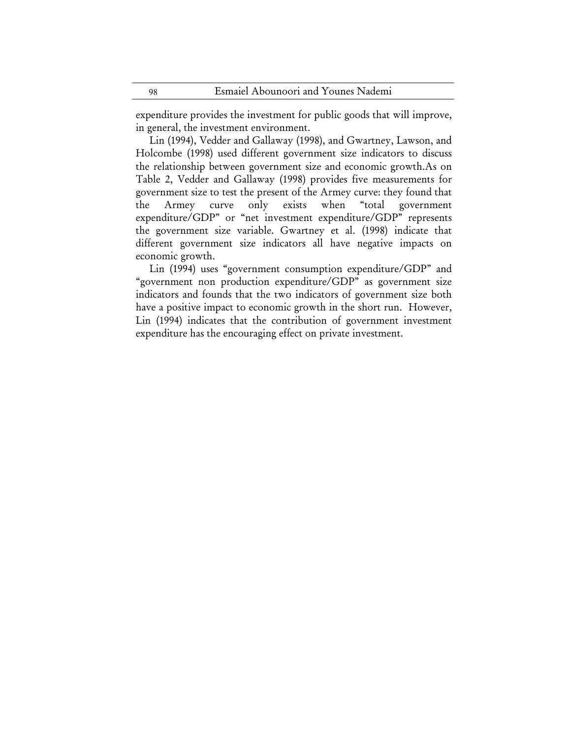expenditure provides the investment for public goods that will improve, in general, the investment environment.

Lin (1994), Vedder and Gallaway (1998), and Gwartney, Lawson, and Holcombe (1998) used different government size indicators to discuss the relationship between government size and economic growth.As on Table 2, Vedder and Gallaway (1998) provides five measurements for government size to test the present of the Armey curve: they found that the Armey curve only exists when "total government expenditure/GDP" or "net investment expenditure/GDP" represents the government size variable. Gwartney et al. (1998) indicate that different government size indicators all have negative impacts on economic growth.

Lin (1994) uses "government consumption expenditure/GDP" and "government non production expenditure/GDP" as government size indicators and founds that the two indicators of government size both have a positive impact to economic growth in the short run. However, Lin (1994) indicates that the contribution of government investment expenditure has the encouraging effect on private investment.

98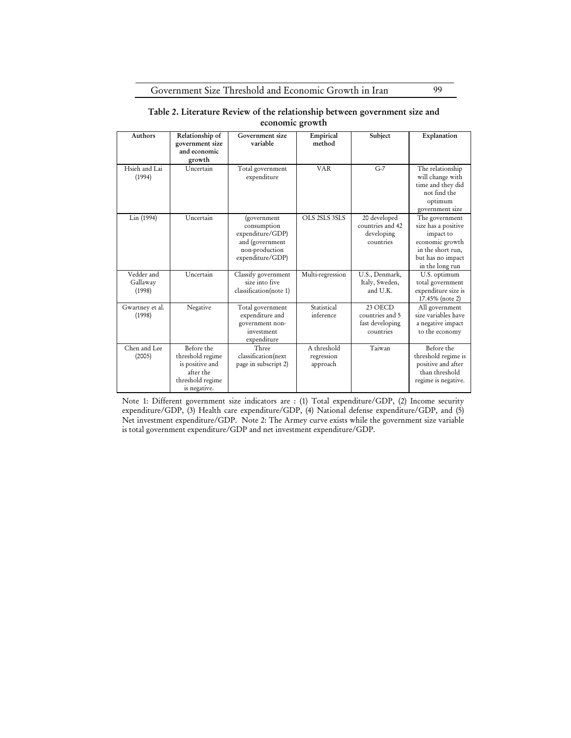Government Size Threshold and Economic Growth in Iran 99

### Table 2. Literature Review of the relationship between government size and economic growth

| <b>Authors</b>                   | Relationship of<br>government size<br>and economic<br>growth                                       | Government size<br>variable                                                                             | Empirical<br>method                   | Subject                                                     | Explanation                                                                                                                        |
|----------------------------------|----------------------------------------------------------------------------------------------------|---------------------------------------------------------------------------------------------------------|---------------------------------------|-------------------------------------------------------------|------------------------------------------------------------------------------------------------------------------------------------|
| Hsieh and Lai<br>(1994)          | Uncertain                                                                                          | Total government<br>expenditure                                                                         | <b>VAR</b>                            | $G-7$                                                       | The relationship<br>will change with<br>time and they did<br>not find the<br>optimum<br>government size                            |
| Lin (1994)                       | Uncertain                                                                                          | (government<br>consumption<br>expenditure/GDP)<br>and (government<br>non-production<br>expenditure/GDP) | OLS 2SLS 3SLS                         | 20 developed<br>countries and 42<br>developing<br>countries | The government<br>size has a positive<br>impact to<br>economic growth<br>in the short run,<br>but has no impact<br>in the long run |
| Vedder and<br>Gallaway<br>(1998) | Uncertain                                                                                          | Classify government<br>size into five<br>classification(note 1)                                         | Multi-regression                      | U.S., Denmark,<br>Italy, Sweden,<br>and U.K.                | U.S. optimum<br>total government<br>expenditure size is<br>17.45% (note 2)                                                         |
| Gwartney et al.<br>(1998)        | Negative                                                                                           | Total government<br>expenditure and<br>government non-<br>investment<br>expenditure                     | Statistical<br>inference              | 23 OECD<br>countries and 5<br>fast developing<br>countries  | All government<br>size variables have<br>a negative impact<br>to the economy                                                       |
| Chen and Lee<br>(2005)           | Before the<br>threshold regime<br>is positive and<br>after the<br>threshold regime<br>is negative. | Three<br>classification(next<br>page in subscript 2)                                                    | A threshold<br>regression<br>approach | Taiwan                                                      | Before the<br>threshold regime is<br>positive and after<br>than threshold<br>regime is negative.                                   |

Note 1: Different government size indicators are : (1) Total expenditure/GDP, (2) Income security expenditure/GDP, (3) Health care expenditure/GDP, (4) National defense expenditure/GDP, and (5) Net investment expenditure/GDP. Note 2: The Armey curve exists while the government size variable is total government expenditure/GDP and net investment expenditure/GDP.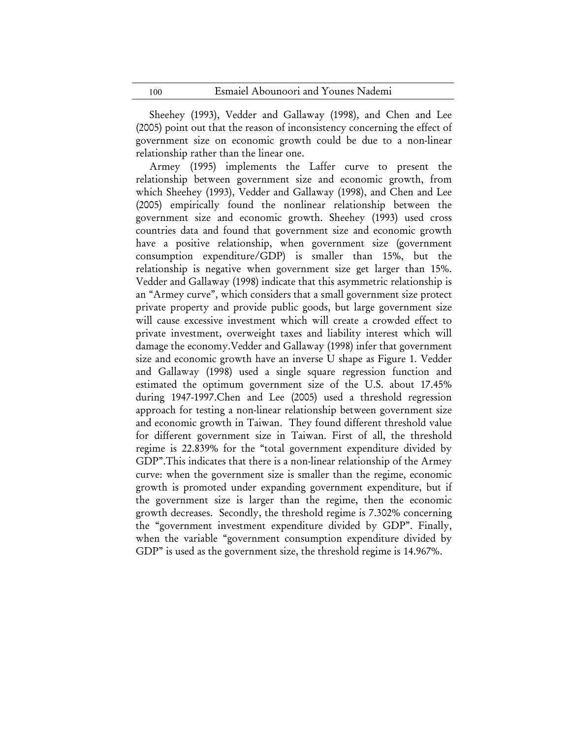Sheehey (1993), Vedder and Gallaway (1998), and Chen and Lee (2005) point out that the reason of inconsistency concerning the effect of government size on economic growth could be due to a non-linear relationship rather than the linear one.

Armey (1995) implements the Laffer curve to present the relationship between government size and economic growth, from which Sheehey (1993), Vedder and Gallaway (1998), and Chen and Lee (2005) empirically found the nonlinear relationship between the government size and economic growth. Sheehey (1993) used cross countries data and found that government size and economic growth have a positive relationship, when government size (government consumption expenditure/GDP) is smaller than 15%, but the relationship is negative when government size get larger than 15%. Vedder and Gallaway (1998) indicate that this asymmetric relationship is an "Armey curve", which considers that a small government size protect private property and provide public goods, but large government size will cause excessive investment which will create a crowded effect to private investment, overweight taxes and liability interest which will damage the economy.Vedder and Gallaway (1998) infer that government size and economic growth have an inverse U shape as Figure 1. Vedder and Gallaway (1998) used a single square regression function and estimated the optimum government size of the U.S. about 17.45% during 1947-1997.Chen and Lee (2005) used a threshold regression approach for testing a non-linear relationship between government size and economic growth in Taiwan. They found different threshold value for different government size in Taiwan. First of all, the threshold regime is 22.839% for the "total government expenditure divided by GDP".This indicates that there is a non-linear relationship of the Armey curve: when the government size is smaller than the regime, economic growth is promoted under expanding government expenditure, but if the government size is larger than the regime, then the economic growth decreases. Secondly, the threshold regime is 7.302% concerning the "government investment expenditure divided by GDP". Finally, when the variable "government consumption expenditure divided by GDP" is used as the government size, the threshold regime is 14.967%.

100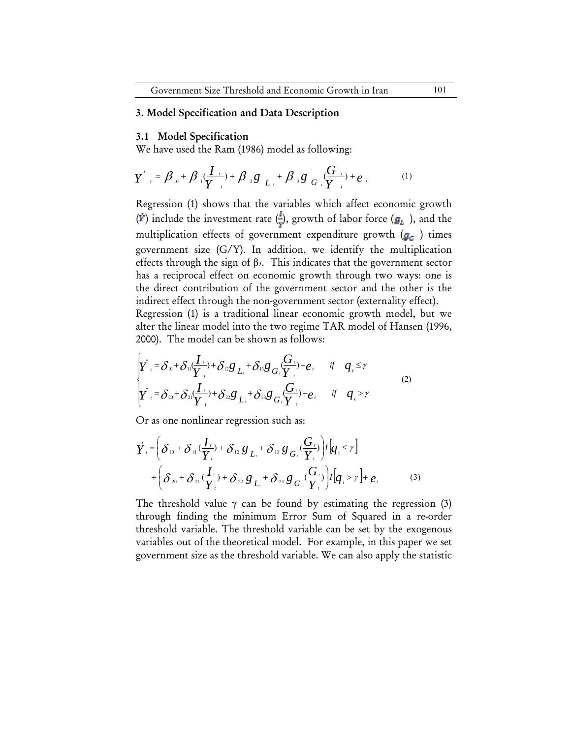### 3. Model Specification and Data Description

#### 3.1 Model Specification

We have used the Ram (1986) model as following:

$$
Y'_{t} = \beta_{0} + \beta_{1}(\frac{I_{t}}{Y_{t}}) + \beta_{2}g_{L_{t}} + \beta_{3}g_{G_{t}}(\frac{G_{t}}{Y_{t}}) + e_{t}
$$
 (1)

Regression (1) shows that the variables which affect economic growth ( $\dot{r}$ ) include the investment rate ( $\frac{1}{r}$ ), growth of labor force ( $g_L$ ), and the multiplication effects of government expenditure growth  $(g_c)$  times government size (G/Y). In addition, we identify the multiplication effects through the sign of  $\beta$ <sub>3</sub>. This indicates that the government sector has a reciprocal effect on economic growth through two ways: one is the direct contribution of the government sector and the other is the indirect effect through the non-government sector (externality effect).

Regression (1) is a traditional linear economic growth model, but we alter the linear model into the two regime TAR model of Hansen (1996, 2000). The model can be shown as follows:

$$
\begin{cases}\n\dot{Y}_t = \delta_{10} + \delta_{11} \frac{I_t}{Y_t} + \delta_{12} g_{L_t} + \delta_{13} g_{G_t} \frac{G_t}{Y_t} + e_t \quad \text{if} \quad q_t \leq \gamma \\
\dot{Y}_t = \delta_{20} + \delta_{21} \frac{I_t}{Y_t} + \delta_{22} g_{L_t} + \delta_{23} g_{G_t} \frac{G_t}{Y_t} + e_t \quad \text{if} \quad q_t > \gamma\n\end{cases} \tag{2}
$$

Or as one nonlinear regression such as:

$$
\dot{Y}_{i} = \left(\delta_{10} + \delta_{11}(\frac{I_{t}}{Y_{i}}) + \delta_{12} g_{L_{i}} + \delta_{13} g_{G_{i}}(\frac{G_{t}}{Y_{i}})\right) I\left[q_{i} \leq r\right]
$$
\n
$$
+ \left(\delta_{20} + \delta_{21}(\frac{I_{t}}{Y_{i}}) + \delta_{22} g_{L_{i}} + \delta_{23} g_{G_{i}}(\frac{G_{t}}{Y_{i}})\right) I\left[q_{i} > r\right] + e_{i} \tag{3}
$$

The threshold value  $\gamma$  can be found by estimating the regression (3) through finding the minimum Error Sum of Squared in a re-order threshold variable. The threshold variable can be set by the exogenous variables out of the theoretical model. For example, in this paper we set government size as the threshold variable. We can also apply the statistic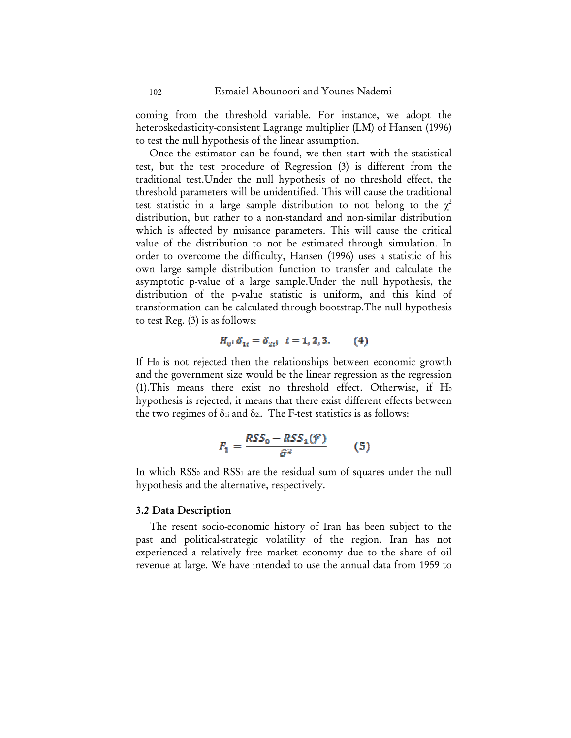coming from the threshold variable. For instance, we adopt the heteroskedasticity-consistent Lagrange multiplier (LM) of Hansen (1996) to test the null hypothesis of the linear assumption.

Once the estimator can be found, we then start with the statistical test, but the test procedure of Regression (3) is different from the traditional test.Under the null hypothesis of no threshold effect, the threshold parameters will be unidentified. This will cause the traditional test statistic in a large sample distribution to not belong to the  $\chi^2$ distribution, but rather to a non-standard and non-similar distribution which is affected by nuisance parameters. This will cause the critical value of the distribution to not be estimated through simulation. In order to overcome the difficulty, Hansen (1996) uses a statistic of his own large sample distribution function to transfer and calculate the asymptotic p-value of a large sample.Under the null hypothesis, the distribution of the p-value statistic is uniform, and this kind of transformation can be calculated through bootstrap.The null hypothesis to test Reg. (3) is as follows:

$$
H_0: \delta_{1i} = \delta_{2i}; \ \ i = 1, 2, 3. \tag{4}
$$

If H<sub>0</sub> is not rejected then the relationships between economic growth and the government size would be the linear regression as the regression  $(1)$ . This means there exist no threshold effect. Otherwise, if H<sub>0</sub> hypothesis is rejected, it means that there exist different effects between the two regimes of  $\delta$ <sup>1</sup> and  $\delta$ <sup>2</sup>. The F-test statistics is as follows:

$$
F_1 = \frac{RSS_0 - RSS_1(\hat{r})}{\hat{\sigma}^2} \tag{5}
$$

In which RSS<sub>0</sub> and RSS<sub>1</sub> are the residual sum of squares under the null hypothesis and the alternative, respectively.

### 3.2 Data Description

The resent socio-economic history of Iran has been subject to the past and political-strategic volatility of the region. Iran has not experienced a relatively free market economy due to the share of oil revenue at large. We have intended to use the annual data from 1959 to

102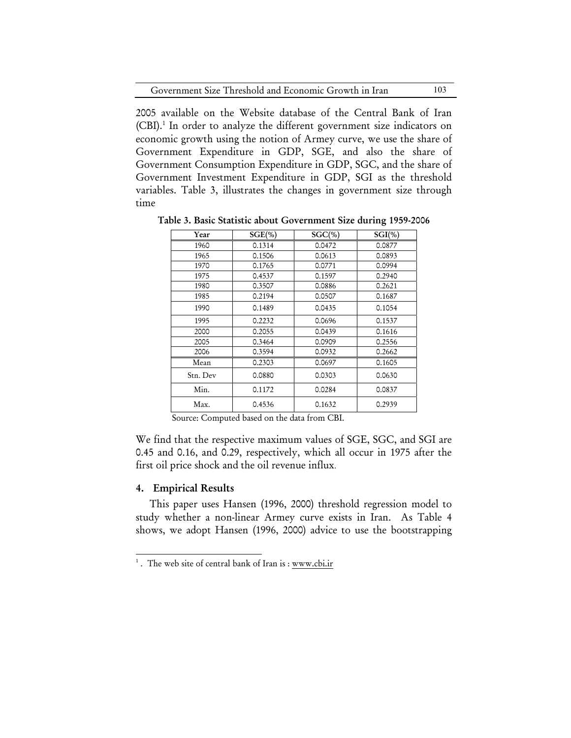| Government Size Threshold and Economic Growth in Iran |  |  | 103 |
|-------------------------------------------------------|--|--|-----|
|-------------------------------------------------------|--|--|-----|

2005 available on the Website database of the Central Bank of Iran (CBI).<sup>1</sup> In order to analyze the different government size indicators on economic growth using the notion of Armey curve, we use the share of Government Expenditure in GDP, SGE, and also the share of Government Consumption Expenditure in GDP, SGC, and the share of Government Investment Expenditure in GDP, SGI as the threshold variables. Table 3, illustrates the changes in government size through time

| Year     | $SGE(\% )$ | $SGC(\% )$ | $SGI(\% )$ |
|----------|------------|------------|------------|
| 1960     | 0.1314     | 0.0472     | 0.0877     |
| 1965     | 0.1506     | 0.0613     | 0.0893     |
| 1970     | 0.1765     | 0.0771     | 0.0994     |
| 1975     | 0.4537     | 0.1597     | 0.2940     |
| 1980     | 0.3507     | 0.0886     | 0.2621     |
| 1985     | 0.2194     | 0.0507     | 0.1687     |
| 1990     | 0.1489     | 0.0435     | 0.1054     |
| 1995     | 0.2232     | 0.0696     | 0.1537     |
| 2000     | 0.2055     | 0.0439     | 0.1616     |
| 2005     | 0.3464     | 0.0909     | 0.2556     |
| 2006     | 0.3594     | 0.0932     | 0.2662     |
| Mean     | 0.2303     | 0.0697     | 0.1605     |
| Stn. Dev | 0.0880     | 0.0303     | 0.0630     |
| Min.     | 0.1172     | 0.0284     | 0.0837     |
| Max.     | 0.4536     | 0.1632     | 0.2939     |

Table 3. Basic Statistic about Government Size during 1959-2006

Source: Computed based on the data from CBI.

We find that the respective maximum values of SGE, SGC, and SGI are 0.45 and 0.16, and 0.29, respectively, which all occur in 1975 after the first oil price shock and the oil revenue influx.

## 4. Empirical Results

 $\overline{a}$ 

This paper uses Hansen (1996, 2000) threshold regression model to study whether a non-linear Armey curve exists in Iran. As Table 4 shows, we adopt Hansen (1996, 2000) advice to use the bootstrapping

<sup>&</sup>lt;sup>1</sup>. The web site of central bank of Iran is : www.cbi.ir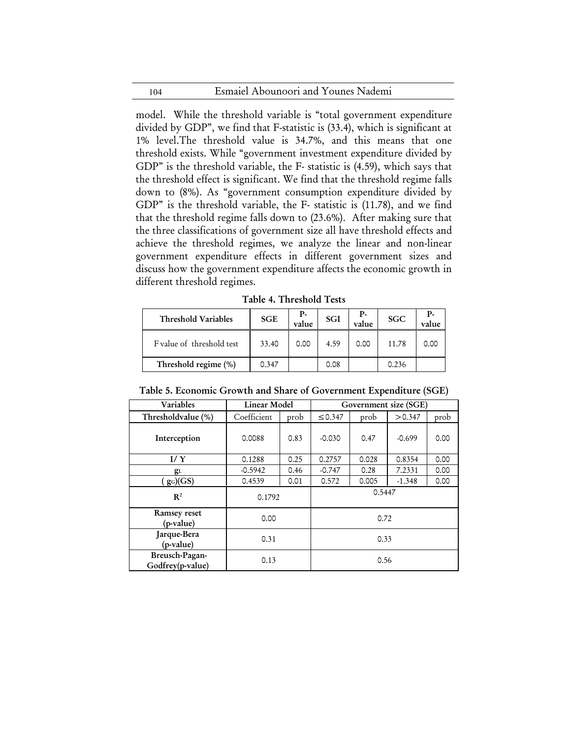### Esmaiel Abounoori and Younes Nademi

model. While the threshold variable is "total government expenditure divided by GDP", we find that F-statistic is (33.4), which is significant at 1% level.The threshold value is 34.7%, and this means that one threshold exists. While "government investment expenditure divided by GDP" is the threshold variable, the F- statistic is (4.59), which says that the threshold effect is significant. We find that the threshold regime falls down to (8%). As "government consumption expenditure divided by GDP" is the threshold variable, the F- statistic is (11.78), and we find that the threshold regime falls down to (23.6%). After making sure that the three classifications of government size all have threshold effects and achieve the threshold regimes, we analyze the linear and non-linear government expenditure effects in different government sizes and discuss how the government expenditure affects the economic growth in different threshold regimes.

| Table 4. Threshold Tests |  |  |
|--------------------------|--|--|
|--------------------------|--|--|

| Threshold Variables       | <b>SGE</b> | Р-<br>value | <b>SGI</b> | Р.<br>value | <b>SGC</b> | р.<br>value |
|---------------------------|------------|-------------|------------|-------------|------------|-------------|
| F value of threshold test | 33.40      | 0.00        | 4.59       | 0.00        | 11.78      | 0.00        |
| Threshold regime (%)      | 0.347      |             | 0.08       |             | 0.236      |             |

Table 5. Economic Growth and Share of Government Expenditure (SGE)

| Variables                          | Linear Model |      | Government size (SGE) |       |          |      |
|------------------------------------|--------------|------|-----------------------|-------|----------|------|
| Thresholdvalue (%)                 | Coefficient  | prob | ≤ 0.347               | prob  | > 0.347  | prob |
| Interception                       | 0.0088       | 0.83 | $-0.030$              | 0.47  | $-0.699$ | 0.00 |
| I/Y                                | 0.1288       | 0.25 | 0.2757                | 0.028 | 0.8354   | 0.00 |
| $g_L$                              | $-0.5942$    | 0.46 | $-0.747$              | 0.28  | 7.2331   | 0.00 |
| $g_G(GS)$                          | 0.4539       | 0.01 | 0.572                 | 0.005 | $-1.348$ | 0.00 |
| $\mathbf{R}^2$                     | 0.1792       |      | 0.5447                |       |          |      |
| Ramsey reset<br>(p-value)          | 0.00         |      | 0.72                  |       |          |      |
| Jarque-Bera<br>(p-value)           | 0.31         |      | 0.33                  |       |          |      |
| Breusch-Pagan-<br>Godfrey(p-value) | 0.13         |      | 0.56                  |       |          |      |

104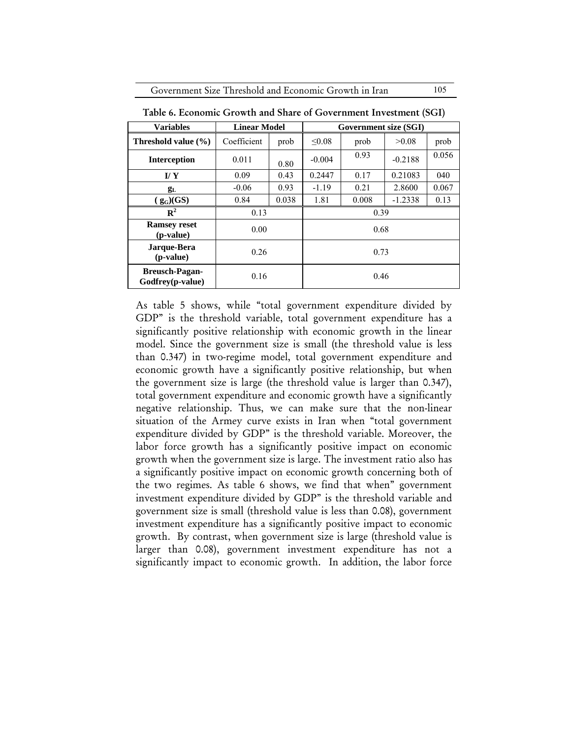Government Size Threshold and Economic Growth in Iran 105

| <b>Variables</b>                          | <b>Linear Model</b><br><b>Government size (SGI)</b> |       |          |       |           |       |  |
|-------------------------------------------|-----------------------------------------------------|-------|----------|-------|-----------|-------|--|
| Threshold value $(\% )$                   | Coefficient                                         | prob  | < 0.08   | prob  | >0.08     | prob  |  |
| <b>Interception</b>                       | 0.011                                               | 0.80  | $-0.004$ | 0.93  | $-0.2188$ | 0.056 |  |
| $\mathbf{I}/\mathbf{Y}$                   | 0.09                                                | 0.43  | 0.2447   | 0.17  | 0.21083   | 040   |  |
| $g_{L}$                                   | $-0.06$                                             | 0.93  | $-1.19$  | 0.21  | 2.8600    | 0.067 |  |
| $(g_G)(GS)$                               | 0.84                                                | 0.038 | 1.81     | 0.008 | $-1.2338$ | 0.13  |  |
| $\mathbb{R}^2$                            | 0.13                                                |       | 0.39     |       |           |       |  |
| <b>Ramsey reset</b><br>(p-value)          | 0.00                                                |       | 0.68     |       |           |       |  |
| Jarque-Bera<br>( <i>p</i> -value)         | 0.26                                                |       | 0.73     |       |           |       |  |
| <b>Breusch-Pagan-</b><br>Godfrey(p-value) | 0.16                                                |       | 0.46     |       |           |       |  |

Table 6. Economic Growth and Share of Government Investment (SGI)

As table 5 shows, while "total government expenditure divided by GDP" is the threshold variable, total government expenditure has a significantly positive relationship with economic growth in the linear model. Since the government size is small (the threshold value is less than 0.347) in two-regime model, total government expenditure and economic growth have a significantly positive relationship, but when the government size is large (the threshold value is larger than 0.347), total government expenditure and economic growth have a significantly negative relationship. Thus, we can make sure that the non-linear situation of the Armey curve exists in Iran when "total government expenditure divided by GDP" is the threshold variable. Moreover, the labor force growth has a significantly positive impact on economic growth when the government size is large. The investment ratio also has a significantly positive impact on economic growth concerning both of the two regimes. As table 6 shows, we find that when" government investment expenditure divided by GDP" is the threshold variable and government size is small (threshold value is less than 0.08), government investment expenditure has a significantly positive impact to economic growth. By contrast, when government size is large (threshold value is larger than 0.08), government investment expenditure has not a significantly impact to economic growth. In addition, the labor force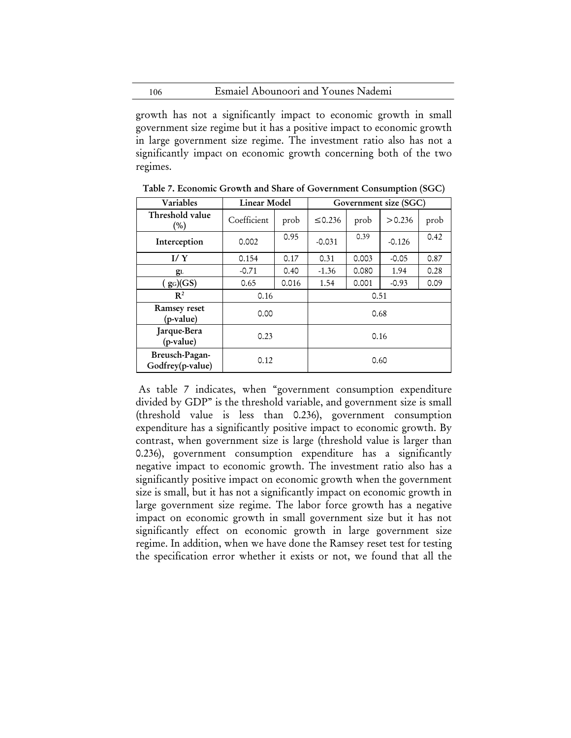Esmaiel Abounoori and Younes Nademi 106

٦

growth has not a significantly impact to economic growth in small government size regime but it has a positive impact to economic growth in large government size regime. The investment ratio also has not a significantly impact on economic growth concerning both of the two regimes.

| Variables                          | Linear Model |       | Government size (SGC) |       |          |      |
|------------------------------------|--------------|-------|-----------------------|-------|----------|------|
| Threshold value<br>(%)             | Coefficient  | prob  | ≤ 0.236               | prob  | > 0.236  | prob |
| Interception                       | 0.002        | 0.95  | $-0.031$              | 0.39  | $-0.126$ | 0.42 |
| I/Y                                | 0.154        | 0.17  | 0.31                  | 0.003 | $-0.05$  | 0.87 |
| $g_L$                              | $-0.71$      | 0.40  | $-1.36$               | 0.080 | 1.94     | 0.28 |
| $(g_G)(GS)$                        | 0.65         | 0.016 | 1.54                  | 0.001 | $-0.93$  | 0.09 |
| $\mathbb{R}^2$                     | 0.16         |       | 0.51                  |       |          |      |
| Ramsey reset<br>(p-value)          | 0.00         |       | 0.68                  |       |          |      |
| Jarque-Bera<br>(p-value)           | 0.23         |       | 0.16                  |       |          |      |
| Breusch-Pagan-<br>Godfrey(p-value) | 0.12         |       |                       | 0.60  |          |      |

Table 7. Economic Growth and Share of Government Consumption (SGC)

 As table 7 indicates, when "government consumption expenditure divided by GDP" is the threshold variable, and government size is small (threshold value is less than 0.236), government consumption expenditure has a significantly positive impact to economic growth. By contrast, when government size is large (threshold value is larger than 0.236), government consumption expenditure has a significantly negative impact to economic growth. The investment ratio also has a significantly positive impact on economic growth when the government size is small, but it has not a significantly impact on economic growth in large government size regime. The labor force growth has a negative impact on economic growth in small government size but it has not significantly effect on economic growth in large government size regime. In addition, when we have done the Ramsey reset test for testing the specification error whether it exists or not, we found that all the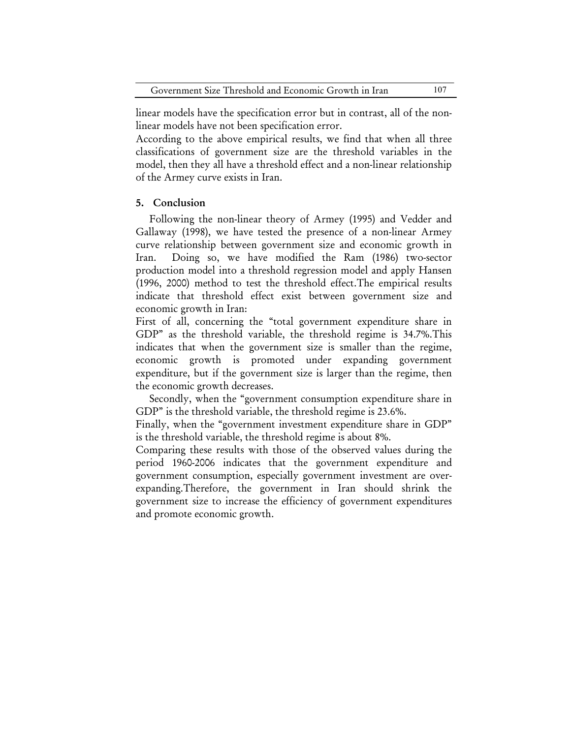linear models have the specification error but in contrast, all of the nonlinear models have not been specification error.

According to the above empirical results, we find that when all three classifications of government size are the threshold variables in the model, then they all have a threshold effect and a non-linear relationship of the Armey curve exists in Iran.

### 5. Conclusion

Following the non-linear theory of Armey (1995) and Vedder and Gallaway (1998), we have tested the presence of a non-linear Armey curve relationship between government size and economic growth in Iran. Doing so, we have modified the Ram (1986) two-sector production model into a threshold regression model and apply Hansen (1996, 2000) method to test the threshold effect.The empirical results indicate that threshold effect exist between government size and economic growth in Iran:

First of all, concerning the "total government expenditure share in GDP" as the threshold variable, the threshold regime is 34.7%.This indicates that when the government size is smaller than the regime, economic growth is promoted under expanding government expenditure, but if the government size is larger than the regime, then the economic growth decreases.

Secondly, when the "government consumption expenditure share in GDP" is the threshold variable, the threshold regime is 23.6%.

Finally, when the "government investment expenditure share in GDP" is the threshold variable, the threshold regime is about 8%.

Comparing these results with those of the observed values during the period 1960-2006 indicates that the government expenditure and government consumption, especially government investment are overexpanding.Therefore, the government in Iran should shrink the government size to increase the efficiency of government expenditures and promote economic growth.